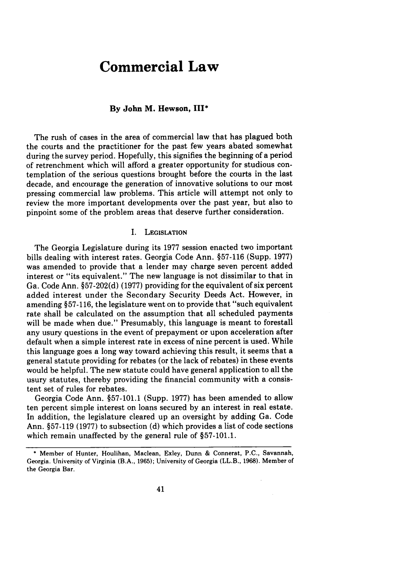# **Commercial Law**

### **By John M. Hewson, III\***

**The** rush of cases in the area of commercial law that has plagued both the courts and the practitioner for the past few years abated somewhat during the survey period. Hopefully, this signifies the beginning of a period of retrenchment which will afford a greater opportunity for studious contemplation of the serious questions brought before the courts in the last decade, and encourage the generation of innovative solutions to our most pressing commercial law problems. This article will attempt not only to review the more important developments over the past year, but also to pinpoint some of the problem areas that deserve further consideration.

### I. **LEGISLATION**

The Georgia Legislature during its **1977** session enacted two important bills dealing with interest rates. Georgia Code Ann. **§57-116** (Supp. **1977)** was amended to provide that a lender may charge seven percent added interest or "its equivalent." The new language is not dissimilar to that in Ga. Code Ann. **§57-202(d) (1977)** providing for the equivalent of six percent added interest under the Secondary Security Deeds Act. However, in amending **§57-116,** the legislature went on to provide that "such equivalent rate shall be calculated on the assumption that all scheduled payments will be made when due." Presumably, this language is meant to forestall any usury questions in the event of prepayment or upon acceleration after default when a simple interest rate in excess of nine percent is used. While this language goes a long way toward achieving this result, it seems that a general statute providing for rebates (or the lack of rebates) in these events would be helpful. The new statute could have general application to all the usury statutes, thereby providing the financial community with a consistent set of rules for rebates.

Georgia Code Ann. §57-101.1 (Supp. 1977) has been amended to allow ten percent simple interest on loans secured by an interest in real estate. In addition, the legislature cleared up an oversight by adding Ga. Code Ann. §57-119 (1977) to subsection (d) which provides a list of code sections which remain unaffected by the general rule of §57-101.1.

<sup>\*</sup> Member of Hunter, Houlihan, Maclean, Exley, Dunn **&** Connerat, **P.C.,** Savannah, Georgia. University **of** Virginia (B.A., **1965);** University of **Georgia (LL.B., 1968).** Member of **the** Georgia Bar.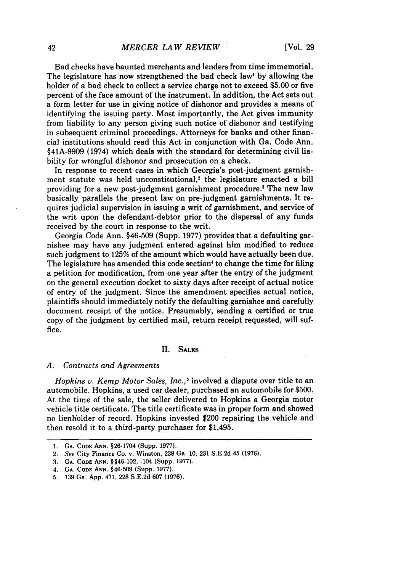Bad checks have haunted merchants and lenders from time immemorial. The legislature has now strengthened the bad check law' by allowing the holder of a bad check to collect a service charge not to exceed \$5.00 or five percent of the face amount of the instrument. In addition, the Act sets out a form letter for use in giving notice of dishonor and provides a means of identifying the issuing party. Most importantly, the Act gives immunity from liability to any person giving such notice of dishonor and testifying in subsequent criminal proceedings. Attorneys for banks and other financial institutions should read this Act in conjunction with Ga. Code Ann. §41A-9909 (1974) which deals with the standard for determining civil liability for wrongful dishonor and prosecution on a check.

In response to recent cases in which Georgia's post-judgment garnishment statute was held unconstitutional,<sup>2</sup> the legislature enacted a bill providing for a new post-judgment garnishment procedure.' The new law basically parallels the present law on pre-judgment garnishments. It requires judicial supervision in issuing a writ of garnishment, and service of the writ upon the defendant-debtor prior to the dispersal of any funds received by the court in response to the writ.

Georgia Code Ann. §46-509 (Supp. 1977) provides that a defaulting garnishee may have any judgment entered against him modified to reduce such judgment to 125% of the amount which would have actually been due. The legislature has amended this code section' to change the time for filing a petition for modification, from one year after the entry of the judgment on the general execution docket to sixty days after receipt of actual notice of entry of the judgment. Since the amendment specifies actual notice, plaintiffs should immediately notify the defaulting garnishee and carefully document receipt of the notice. Presumably, sending a certified or true copy of the judgment by certified mail, return receipt requested, will suffice.

#### II. **SALES**

#### *A. Contracts and Agreements.*

*Hopkins v. Kemp Motor Sales, Inc.,5* involved a dispute over title to an automobile. Hopkins, a used car dealer, purchased an automobile for \$500. At the time of the sale, the seller delivered to Hopkins a Georgia motor vehicle title certificate. The title certificate was in proper form and showed no lienholder of record. Hopkins invested \$200 repairing the vehicle and then resold it to a third-party purchaser for \$1,495.

3. **GA. CODE ANN.** § §46-102, -104 (Supp. 1977).

**<sup>1.</sup> GA. CODE ANN.** §26-1704 (Supp. **1977).**

**<sup>2.</sup>** See City Finance Co. v. Winston, **238** Ga. 10, **231** S.E.2d 45 **(1976).**

**<sup>4.</sup> GA. CODE ANN. §46-509** (Supp. 1977).

**<sup>5.</sup> 139** Ga. App. 471, **228** S.E.2d **607 (1976).**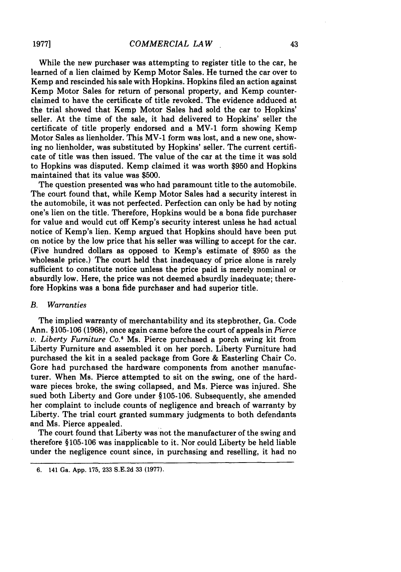While the new purchaser was attempting to register title to the car, he learned of a lien claimed by Kemp Motor Sales. He turned the car over to Kemp and rescinded his sale with Hopkins. Hopkins filed an action against Kemp Motor Sales for return of personal property, and Kemp counterclaimed to have the certificate of title revoked. The evidence adduced at the trial showed that Kemp Motor Sales had sold the car to Hopkins' seller. At the time of the sale, it had delivered to Hopkins' seller the certificate of title properly endorsed and a MV-1 form showing Kemp Motor Sales as lienholder. This MV-1 form was lost, and a new one, showing no lienholder, was substituted by Hopkins' seller. The current certificate of title was then issued. The value of the car at the time it was sold to Hopkins was disputed. Kemp claimed it was worth **\$950** and Hopkins maintained that its value was \$500.

The question presented was who had paramount title to the automobile. The court found that, while Kemp Motor Sales had a security interest in the automobile, it was not perfected. Perfection can only be had by noting one's lien on the title. Therefore, Hopkins would be a bona fide purchaser for value and would cut off Kemp's security interest unless he had actual notice of Kemp's lien. Kemp argued that Hopkins should have been put on notice by the low price that his seller was willing to accept for the car. (Five hundred dollars as opposed to Kemp's estimate of **\$950** as the wholesale price.) The court held that inadequacy of price alone is rarely sufficient to constitute notice unless the price paid is merely nominal or absurdly low. Here, the price was not deemed absurdly inadequate; therefore Hopkins was a bona fide purchaser and had superior title.

#### *B. Warranties*

The implied warranty of merchantability and its stepbrother, Ga. Code Ann. §105-106 (1968), once again came before the court of appeals in *Pierce v. Liberty Furniture Co.'* Ms. Pierce purchased a porch swing kit from Liberty Furniture and assembled it on her porch. Liberty Furniture had purchased the kit in a sealed package from Gore & Easterling Chair Co. Gore had purchased the hardware components from another manufacturer. When Ms. Pierce attempted to sit on the swing, one of the hardware pieces broke, the swing collapsed, and Ms. Pierce was injured. She sued both Liberty and Gore under §105-106. Subsequently, she amended her complaint to include counts of negligence and breach of warranty by Liberty. The trial court granted summary judgments to both defendants and Ms. Pierce appealed.

The court found that Liberty was not the manufacturer of the swing and therefore §105-106 was inapplicable to it. Nor could Liberty be held liable under the negligence count since, in purchasing and reselling, it had no

<sup>6. 141</sup> Ga. App. 175, 233 S.E.2d 33 (1977).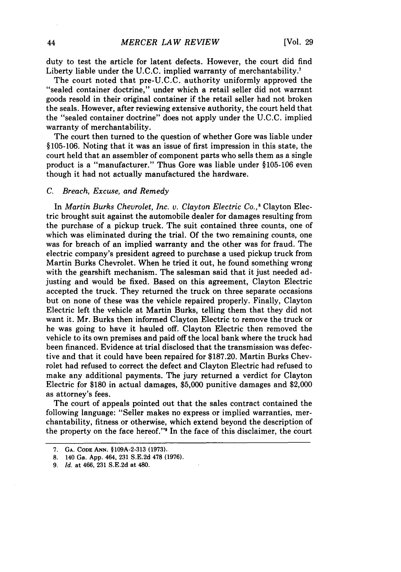duty to test the article for latent defects. However, the court did find Liberty liable under the U.C.C. implied warranty of merchantability.<sup>7</sup>

The court noted that pre-U.C.C. authority uniformly approved the "sealed container doctrine," under which a retail seller did not warrant goods resold in their original container if the retail seller had not broken the seals. However, after reviewing extensive authority, the court held that the "sealed container doctrine" does not apply under the U.C.C. implied warranty of merchantability.

The court then turned to the question of whether Gore was liable under §105-106. Noting that it was an issue of first impression in this state, the court held that an assembler of component parts who sells them as a single product is a "manufacturer." Thus Gore was liable under §105-106 even though it had not actually manufactured the hardware.

#### C. Breach, Excuse, and Remedy

In Martin Burks *Chevrolet,* Inc. *v. Clayton Electric Co.,8* Clayton Electric brought suit against the automobile dealer for damages resulting from the purchase of a pickup truck. The suit contained three counts, one of which was eliminated during the trial. Of the two remaining counts, one was for breach of an implied warranty and the other was for fraud. The electric company's president agreed to purchase a used pickup truck from Martin Burks Chevrolet. When he tried it out, he found something wrong with the gearshift mechanism. The salesman said that it just needed adjusting and would be fixed. Based on this agreement, Clayton Electric accepted the truck. They returned the truck on three separate occasions but on none of these was the vehicle repaired properly. Finally, Clayton Electric left the vehicle at Martin Burks, telling them that they did not want it. Mr. Burks then informed Clayton Electric to remove the truck or he was going to have it hauled off. Clayton Electric then removed the vehicle to its own premises and paid off the local bank where the truck had been financed. Evidence at trial disclosed that the transmission was defective and that it could have been repaired for \$187.20. Martin Burks Chevrolet had refused to correct the defect and Clayton Electric had refused to make any additional payments. The jury returned a verdict for Clayton Electric for \$180 in actual damages, \$5,000 punitive damages and \$2,000 as attorney's fees.

The court of appeals pointed out that the sales contract contained the following language: "Seller makes no express or implied warranties, merchantability, fitness or otherwise, which extend beyond the description of the property on the face hereof." In the face of this disclaimer, the court

**<sup>7.</sup> GA. CODE ANN. §109A-2-313 (1973).**

**<sup>8.</sup>** 140 Ga. App. 464, **231** S.E.2d **478 (1976).**

*<sup>9.</sup> Id.* at 466, 231 S.E.2d at 480.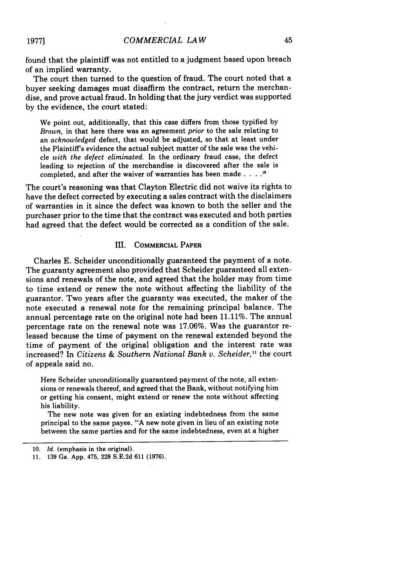found that the plaintiff was not entitled to a judgment based upon breach of an implied warranty.

The court then turned to the question of fraud. The court noted that a buyer seeking damages must disaffirm the contract, return the merchandise, and prove actual fraud. In holding that the jury verdict was supported by the evidence, the court stated:

We point out, additionally, that this case differs from those typified by *Brown,* in that here there was an agreement *prior* to the sale relating to an *acknowledged* defect, that would be adjusted, so that at least under the Plaintiffs evidence the actual subject matter of the sale was the vehicle *with the defect eliminated.* In the ordinary fraud case, the defect leading to rejection of the merchandise is discovered after the sale is completed, and after the waiver of warranties has been made  $\ldots$ .<sup>10</sup>

The court's reasoning was that Clayton Electric did not waive its rights to have the defect corrected by executing a sales contract with the disclaimers of warranties in it since the defect was known to both the seller and the purchaser prior to the time that the contract was executed and both parties had agreed that the defect would be corrected as a condition of the sale.

## III. COMMERCIAL PAPER

Charles E. Scheider unconditionally guaranteed the payment of a note. The guaranty agreement also provided that Scheider guaranteed all extensions and renewals of the note, and agreed that the holder may from time to time extend or renew the note without affecting the liability of the guarantor. Two years after the guaranty was executed, the maker of the note executed a renewal note for the remaining principal balance. The annual percentage rate on the original note had been 11.11%. The annual percentage rate on the renewal note was 17.06%. Was the guarantor released because the time of payment on the renewal extended beyond the time of payment of the original obligation and the interest rate was increased? In *Citizens & Southern National Bank* v. *Scheider, "* the court of appeals said no.

Here Scheider unconditionally guaranteed payment of the note, all extensions or renewals thereof, and agreed that the Bank, without notifying him or getting his consent, might extend or renew the note without affecting his liability.

The new note was given for an existing indebtedness from the same principal to the same payee. "A new note given in lieu of an existing note between the same parties and for the same indebtedness, even at a higher

<sup>10.</sup> *Id.* (emphasis in the original).

<sup>11. 139</sup> Ga. App. 475, 228 S.E.2d 611 (1976).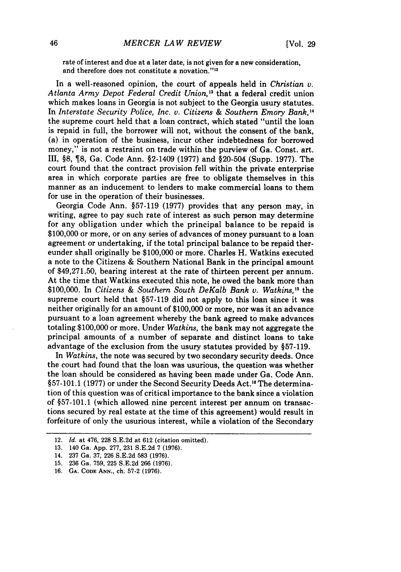rate of interest and due at a later date, is not given for a new consideration, and therefore does not constitute a novation."''

In a well-reasoned opinion, the court of appeals held in *Christian v.* Atlanta Army Depot Federal Credit Union,<sup>13</sup> that a federal credit union which makes loans in Georgia is not subject to the Georgia usury statutes. In *Interstate Security Police, Inc. v. Citizens & Southern Emory Bank, <sup>4</sup>* the supreme court held that a loan contract, which stated "until the loan is repaid in full, the borrower will not, without the consent of the bank, (a) in operation of the business, incur other indebtedness for borrowed money," is not a restraint on trade within the purview of Ga. Const. art. III, §8, 8, Ga. Code Ann. §2-1409 (1977) and §20-504 (Supp. 1977). The court found that the contract provision fell within the private enterprise area in which corporate parties are free to obligate themselves in this manner as an inducement to lenders to make commercial loans to them for use in the operation of their businesses.

Georgia Code Ann. §57-119 (1977) provides that any person may, in writing, agree to pay such rate of interest as such person may determine for any obligation under which the principal balance to be repaid is \$100,000 or more, or on any series of advances of money pursuant to a loan agreement or undertaking, if the total principal balance to be repaid thereunder shall originally be \$100,000 or more. Charles H. Watkins executed a note to the Citizens & Southern National Bank in the principal amount of \$49,271.50, bearing interest at the rate of thirteen percent per annum. At the time that Watkins executed this note, he owed the bank more than \$100,000. In *Citizens & Southern South DeKalb Bank v. Watkins*,<sup>15</sup> the supreme court held that §57-119 did not apply to this loan since it was neither originally for an amount of \$100,000 or more, nor was it an advance pursuant to a loan agreement whereby the bank agreed to make advances totaling \$100,000 or more. Under *Watkins,* the bank may not aggregate the principal amounts of a number of separate and distinct loans to take advantage of the exclusion from the usury statutes provided by §57-119.

In *Watkins,* the note was secured by two secondary security deeds. Once the court had found that the loan was usurious, the question was whether the loan should be considered as having been made under Ga. Code Ann. §57-101.1 (1977) or under the Second Security Deeds Act.<sup>16</sup> The determination of this question was of critical importance to the bank since a violation of §57-101.1 (which allowed nine percent interest per annum on transactions secured by real estate at the time of this agreement) would result in forfeiture of only the usurious interest, while a violation of the Secondary

<sup>12.</sup> *Id.* at 476, 228 S.E.2d at 612 (citation omitted).

<sup>13. 140</sup> Ga. App. 277, 231 S.E.2d 7 (1976).

<sup>14. 237</sup> Ga. 37, 226 S.E.2d 583 (1976).

<sup>15. 236</sup> Ga. 759, 225 S.E.2d 266 (1976).

**<sup>16.</sup> GA. CODE ANN.,** ch. **57-2 (1976).**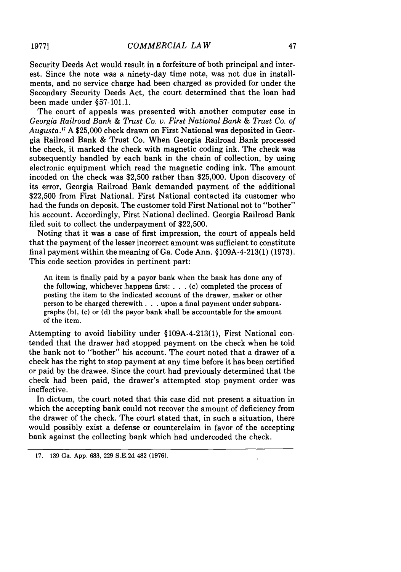Security Deeds Act would result in a forfeiture of both principal and interest. Since the note was a ninety-day time note, was not due in installments, and no service charge had been charged as provided for under the Secondary Security Deeds Act, the court determined that the loan had been made under §57-101.1.

The court of appeals was presented with another computer case in *Georgia Railroad Bank & Trust Co. v. First National Bank & Trust Co. of Augusta. <sup>7</sup>*A \$25,000 check drawn on First National was deposited in Georgia Railroad Bank & Trust Co. When Georgia Railroad Bank processed the check, it marked the check with magnetic coding ink. The check was subsequently handled by each bank in the chain of collection, by using electronic equipment which read the magnetic coding ink. The amount incoded on the check was \$2,500 rather than \$25,000. Upon discovery of its error, Georgia Railroad Bank demanded payment of the additional \$22,500 from First National. First National contacted its customer who had the funds on deposit. The customer told First National not to "bother" his account. Accordingly, First National declined. Georgia Railroad Bank filed suit to collect the underpayment of \$22,500.

Noting that it was a case of first impression, the court of appeals held that the. payment of the lesser incorrect amount was sufficient to constitute final payment within the meaning of Ga. Code Ann. §109A-4-213(1) (1973). This code section provides in pertinent part:

An item is finally paid by a payor bank when the bank has done any of the following, whichever happens first: . . . (c) completed the process of posting the item to the indicated account of the drawer, maker or other person to be charged therewith. **. .** upon a final payment under subparagraphs **(b),** (c) or (d) the payor bank shall be accountable for the amount of the item.

Attempting to avoid liability under §109A-4-213(!), First National con- .tended that the drawer had stopped payment on the check when he told the bank not to "bother" his account. The court noted that a drawer of a check has the right to stop payment at any time before it has been certified or paid by the drawee. Since the court had previously determined that the check had been paid, the drawer's attempted stop payment order was ineffective.

In dictum, the court noted that this case did not present a situation in which the accepting bank could not recover the amount of deficiency from the drawer of the check. The court stated that, in such a situation, there would possibly exist a defense or counterclaim in favor of the accepting bank against the collecting bank which had undercoded the check.

<sup>17. 139</sup> Ga. App. 683, 229 S.E.2d 482 (1976).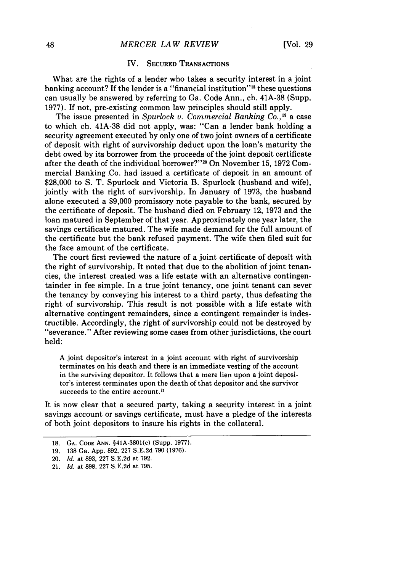## *MERCER LAW REVIEW*

## IV. **SECURED TRANSACTIONS**

What are the rights of a lender who takes a security interest in a joint banking account? **If** the lender is a "financial institution"'" these questions can usually be answered **by** referring to Ga. Code Ann., ch. **41A-38** (Supp. **1977).** If not, pre-existing common law principles should still apply.

The issue presented in *Spurlock v. Commercial Banking Co.*,<sup>19</sup> a case to which ch. 41A-38 did not apply, was: "Can a lender bank holding a security agreement executed by only one of two joint owners of a certificate of deposit with right of survivorship deduct upon the loan's maturity the debt owed by its borrower from the proceeds of the joint deposit certificate after the death of the individual borrower?"20 On November 15, 1972 Commercial Banking Co. had issued a certificate of deposit in an amount of \$28,000 to S. T. Spurlock and Victoria B. Spurlock (husband and wife), jointly with the right of survivorship. In January of 1973, the husband alone executed a \$9,000 promissory note payable to the bank, secured by the certificate of deposit. The husband died on February 12, 1973 and the loan matured in September of that year. Approximately one year later, the savings certificate matured. The wife made demand for the full amount of the certificate but the bank refused payment. The wife then filed suit for the face amount of the certificate.

The court first reviewed the nature of a joint certificate of deposit with the right of survivorship. It noted that due to the abolition of joint tenancies, the interest created was a life estate with an alternative contingentainder in fee simple. In a true joint tenancy, one joint tenant can sever the tenancy by conveying his interest to a third party, thus defeating the right of survivorship. This result is not possible with a life estate with alternative contingent remainders, since a contingent remainder is indestructible. Accordingly, the right of survivorship could not be destroyed by "severance." After reviewing some cases from other jurisdictions, the court held:

A joint depositor's interest in a joint account with right of survivorship terminates on his death and there is an immediate vesting of the account in the surviving depositor. It follows that a mere lien upon a joint depositor's interest terminates upon the death of that depositor and the survivor succeeds to the entire account.<sup>21</sup>

It is now clear that a secured party, taking a security interest in a joint savings account or savings certificate, must have a pledge of the interests of both joint depositors to insure his rights in the collateral.

**<sup>18.</sup> GA. CODE ANN.** §41A-3801(c) (Supp. 1977).

**<sup>19. 138</sup>** Ga. **App. 892, 227 S.E.2d 790 (1976).**

<sup>20.</sup> *Id.* at **893, 227 S.E.2d** at **792.**

<sup>21.</sup> *Id.* at **898, 227 S.E.2d** at **795.**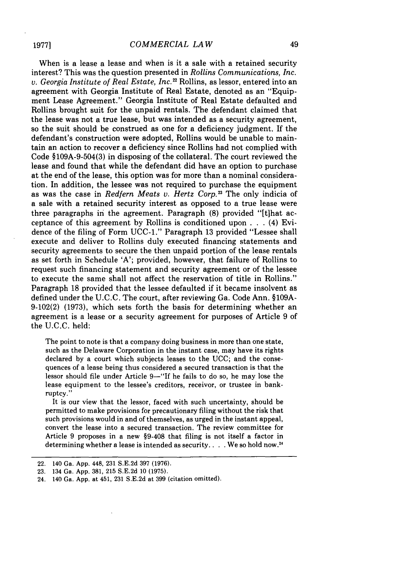When is a lease a lease and when is it a sale with a retained security interest? This was the question presented in *Rollins Communications, Inc. v. Georgia Institute of Real Estate, Inc."* Rollins, as lessor, entered into an agreement with Georgia Institute of Real Estate, denoted as an "Equipment Lease Agreement." Georgia Institute of Real Estate defaulted and Rollins brought suit for the unpaid rentals. The defendant claimed that the lease was not a true lease, but was intended as a security agreement, so the suit should be construed as one for a deficiency judgment. If the defendant's construction were adopted, Rollins would be unable to maintain an action to recover a deficiency since Rollins had not complied with Code §109A-9-504(3) in disposing of the collateral. The court reviewed the lease and found that while the defendant did have an option to purchase at the end of the lease, this option was for more than a nominal consideration. In addition, the lessee was not required to purchase the equipment as was the case in *Redfern Meats v. Hertz Corp.13* The only indicia of a sale with a retained security interest as opposed to a true lease were three paragraphs in the agreement. Paragraph (8) provided "[t]hat acceptance of this agreement by Rollins is conditioned upon . . . (4) Evidence of the filing of Form **UCC-1."** Paragraph 13 provided "Lessee shall execute and deliver to Rollins duly executed financing statements and security agreements to secure the then unpaid portion of the lease rentals as set forth in Schedule 'A'; provided, however, that failure of Rollins to request such financing statement and security agreement or of the lessee to execute the same shall not affect the reservation of title in Rollins." Paragraph 18 provided that the lessee defaulted if it became insolvent as defined under the U.C.C. The court, after reviewing Ga. Code Ann. §109A-9-102(2) (1973), which sets forth the basis for determining whether an agreement is a lease or a security agreement for purposes of Article 9 of the U.C.C. held:

The point to note is that a company doing business in more than one state, such as the Delaware Corporation in the instant case, may have its rights declared by a court which subjects leases to the UCC; and the consequences of a lease being thus considered a secured transaction is that the lessor should file under Article **9-"If** he fails to do so, he may lose the lease equipment to the lessee's creditors, receivor, or trustee in bankruptcy."

It is our view that the lessor, faced with such uncertainty, should be permitted to make provisions for precautionary filing without the risk that such provisions would in and of themselves, as urged in the instant appeal, convert the lease into a secured transaction. The review committee for Article 9 proposes in a new §9-408 that filing is not itself a factor in determining whether a lease is intended as security.. .. We so hold now."

<sup>22. 140</sup> Ga. App. 448, 231 S.E.2d 397 (1976).

<sup>23. 134</sup> Ga. App. 381, 215 S.E.2d 10 (1975).

<sup>24. 140</sup> Ga. App. at 451, 231 S.E.2d at 399 (citation omitted).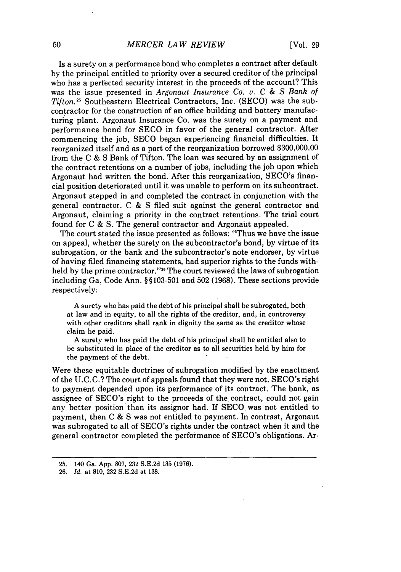#### *MERCER LAW REVIEW*

Is a surety on a performance bond who completes a contract after default by the principal entitled to priority over a secured creditor of the principal who has a perfected security interest in the proceeds of the account? This was the issue presented in *Argonaut Insurance Co. v. C & S Bank of Tifton.25* Southeastern Electrical Contractors, Inc. (SECO) was the subcontractor for the construction of an office building and battery manufacturing plant. Argonaut Insurance Co. was the surety on a payment and performance bond for SECO in favor of the general contractor. After commencing the job, SECO began experiencing financial difficulties. It reorganized itself and as a part of the reorganization borrowed \$300,000.00 from the C & S Bank of Tifton. The loan was secured by an assignment of the contract retentions on a number of jobs, including the job upon which Argonaut had written the bond. After this reorganization, SECO's financial position deteriorated until it was unable to perform on its subcontract. Argonaut stepped in and completed the contract in conjunction with the general contractor. C & S filed suit against the general contractor and Argonaut, claiming a priority in the contract retentions. The trial court found for C & S. The general contractor and Argonaut appealed.

The court stated the issue presented as follows: "Thus we have the issue on appeal, whether the surety on the subcontractor's bond, by virtue of its subrogation, or the bank and the subcontractor's note endorser, by virtue of having filed financing statements, had superior rights to the funds withheld by the prime contractor."<sup>26</sup> The court reviewed the laws of subrogation including Ga. Code Ann. § §103-501 and 502 (1968). These sections provide respectively:

A surety who has paid the debt of his principal shall be subrogated, both at law and in equity, to all the rights of the creditor, and, in controversy with other creditors shall rank in dignity the same as the creditor whose claim he paid.

A surety who has paid the debt of his principal shall be entitled also to be substituted in place of the creditor as to all securities held by him for the payment of the debt.

Were these equitable doctrines of subrogation modified by the enactment of the U.C.C.? The court of appeals found that they were not. SECO's right to payment depended upon its performance of its contract. The bank, as assignee of SECO's right to the proceeds of the contract, could not gain any better position than its assignor had. If SECO. was not entitled to payment, then C & S was not entitled to payment. In contrast, Argonaut was subrogated to all of SECO's rights under the contract when it and the general contractor completed the performance of SECO's obligations. Ar-

<sup>25. 140</sup> Ga. App. 807, 232 S.E.2d 135 (1976).

<sup>26.</sup> *Id.* at 810, 232 S.E.2d at 138.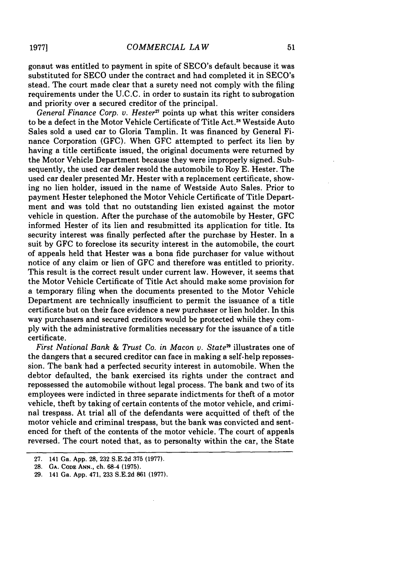gonaut was entitled to payment in spite of SECO's default because it was substituted for SECO under the contract and had completed it in SECO's stead. The court made clear that a surety need not comply with the filing requirements under the U.C.C. in order to sustain its right to subrogation and priority over a secured creditor of the principal.

*General Finance Corp. v. Hester<sup>27</sup>* points up what this writer considers to be a defect in the Motor Vehicle Certificate of Title Act.<sup>28</sup> Westside Auto Sales sold a used car to Gloria Tamplin. It was financed by General Finance Corporation (GFC). When GFC attempted to perfect its lien by having a title certificate issued, the original documents were returned by the Motor Vehicle Department because they were improperly signed. Subsequently, the used car dealer resold the automobile to Roy E. Hester. The used car dealer presented Mr. Hester with a replacement certificate, showing no lien holder, issued in the name of Westside Auto Sales. Prior to payment Hester telephoned the Motor Vehicle Certificate of Title Department and was told that no outstanding lien existed against the motor vehicle in question. After the purchase of the automobile by Hester, GFC informed Hester of its lien and resubmitted its application for title. Its security interest was finally perfected after the purchase by Hester. In a suit by GFC to foreclose its security interest in the automobile, the court of appeals held that Hester was a bona fide purchaser for value without notice of any claim or lien of GFC and therefore was entitled to priority. This result is the correct result under current law. However, it seems that the Motor Vehicle Certificate of Title Act should make some provision for a temporary filing when the documents presented to the Motor Vehicle Department are technically insufficient to permit the issuance of a title certificate but on their face evidence a new purchaser or lien holder. In this way purchasers and secured creditors would be protected while they comply with the administrative formalities necessary for the issuance of a title certificate.

*First National Bank & Trust Co. in Macon v. States* illustrates one of the dangers that a secured creditor can face in making a self-help repossession. The bank had a perfected security interest in automobile. When the debtor defaulted, the bank exercised its rights under the contract and repossessed the automobile without legal process. The bank and two of its employees were indicted in three separate indictments for theft of a motor vehicle, theft by taking of certain contents of the motor vehicle, and criminal trespass. At trial all of the defendants were acquitted of theft of the motor vehicle and criminal trespass, but the bank was convicted and sentenced for theft of the contents of the motor vehicle. The court of appeals reversed. The court noted that, as to personalty within the car, the State

<sup>27. 141</sup> Ga. App. 28, 232 S.E.2d 375 (1977).

<sup>28.</sup> **GA. CODE ANN.,** ch. 68-4 (1975).

<sup>29. 141</sup> Ga. App. 471, **233 S.E.2d** 861 (1977).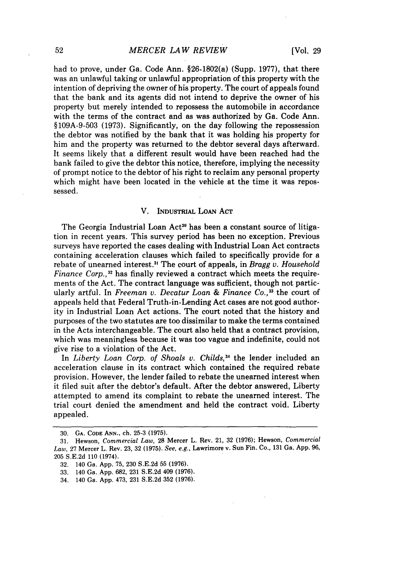had to prove, under Ga. Code Ann. §26-1802(a) (Supp. 1977), that there was an unlawful taking or unlawful appropriation of this property with the intention of depriving the owner of his property. The court of appeals found that the bank and its agents did not intend to deprive the owner of his property but merely intended to repossess the automobile in accordance with the terms of the contract and as was authorized by Ga. Code Ann. §109A-9-503 (1973). Significantly, on the day following the repossession the debtor was notified by the bank that it was holding his property for him and the property was returned to the debtor several days afterward. It seems likely that a different result would have been reached had the bank failed to give the debtor this notice, therefore, implying the necessity of prompt notice to the debtor of his right to reclaim any personal property which might have been located in the vehicle at the time it was repossessed.

## V. INDUSTRIAL LoAN **ACT**

The Georgia Industrial Loan Act<sup>30</sup> has been a constant source of litigation in recent years. This survey period has been no exception. Previous surveys have reported the cases dealing with Industrial Loan Act contracts containing acceleration clauses which failed to specifically provide for a rebate of unearned interest.<sup>31</sup> The court of appeals, in *Bragg v. Household Finance Corp.*,<sup>32</sup> has finally reviewed a contract which meets the requirements of the Act. The contract language was sufficient, though not particularly artful. In *Freeman v. Decatur Loan & Finance Co.*,<sup>33</sup> the court of appeals held that Federal Truth-in-Lending Act cases are not good authority in Industrial Loan Act actions. The court noted that the history and purposes of the two statutes are too dissimilar to make the terms contained in the Acts interchangeable. The court also held that a contract provision, which was meaningless because it was too vague and indefinite, could not give rise to a violation of the Act.

In *Liberty Loan Corp. of Shoals v. Childs*,<sup>34</sup> the lender included an acceleration clause in its contract which contained the required rebate provision. However, the lender failed to rebate the unearned interest when it filed suit after the debtor's default. After the debtor answered, Liberty attempted to amend its complaint to rebate the unearned interest. The trial court denied the amendment and held the contract void. Liberty appealed.

<sup>30.</sup> **GA. CODE ANN.,** ch. 25-3 (1975).

**<sup>31.</sup>** Hewson, *Commercial Law,* **28** Mercer L. Rev. 21, **32 (1976);** Hewson, *Commercial Law,* **27** Mercer L. Rev. **23, 32 (1975).** *See, e.g.,* Lawrimore v. Sun Fin. Co., **131** Ga. **App. 96, 205 S.E.2d 110** (1974).

**<sup>32.</sup>** 140 Ga. **App. 75, 230 S.E.2d 55 (1976).**

**<sup>33.</sup>** 140 Ga. **App. 682, 231 S.E.2d** 409 **(1976).**

<sup>34.</sup> 140 Ga. **App.** 473, **231 S.E.2d 352 (1976).**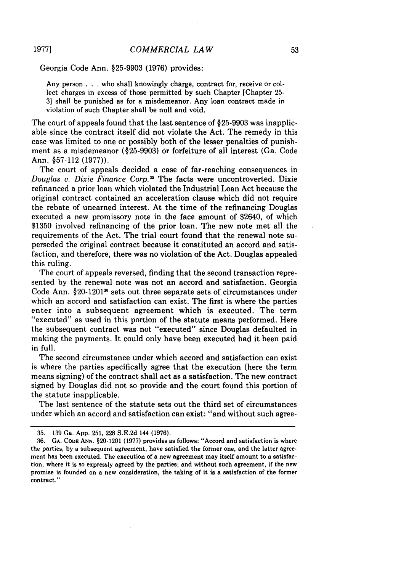Georgia Code Ann. §25-9903 (1976) provides:

Any person . . . who shall knowingly charge, contract for, receive or collect charges in excess of those permitted by such Chapter [Chapter 25- 3] shall be punished as for a misdemeanor. Any loan contract made in violation of such Chapter shall be null and void.

The court of appeals found that the last sentence of §25-9903 was inapplicable since the contract itself did not violate the Act. The remedy in this case was limited to one or possibly both of the lesser penalties of punishment as a misdemeanor (§25-9903) or forfeiture of all interest (Ga. Code Ann. §57-112 (1977)).

The court of appeals decided a case of far-reaching consequences in *Douglas v. Dixie Finance Corp.35* The facts were uncontroverted. Dixie refinanced a prior loan which violated the Industrial Loan Act because the original contract contained an acceleration clause which did not require the rebate of unearned interest. At the time of the refinancing Douglas executed a new promissory note in the face amount of \$2640, of which \$1350 involved refinancing of the prior loan. The new note met all the requirements of the Act. The trial court found that the renewal note superseded the original contract because it constituted an accord and satisfaction, and therefore, there was no violation of the Act. Douglas appealed this ruling.

The court of appeals reversed, finding that the second transaction represented by the renewal note was not an accord and satisfaction. Georgia Code Ann. §20-12013" sets out three separate sets of circumstances under which an accord and satisfaction can exist. The first is where the parties enter into a subsequent agreement which is executed. The term "executed" as used in this portion of the statute means performed. Here the subsequent contract was not "executed" since Douglas defaulted in making the payments. It could only have been executed had it been paid in full.

The second circumstance under which accord and satisfaction can exist is where the parties specifically agree that the execution (here the term means signing) of the contract shall act as a satisfaction. The new contract signed by Douglas did not so provide and the court found this portion of the statute inapplicable.

The last sentence of the statute sets out the third set of circumstances under which an accord and satisfaction can exist: "and without such agree-

**1977]**

<sup>35. 139</sup> Ga. App. 251, 228 S.E.2d 144 (1976).

<sup>36.</sup> **GA. CODE ANN.** §20-1201 **(1977)** provides as follows: "Accord and satisfaction is where the parties, **by** a subsequent agreement, have satisfied the former one, and the latter agreement has been executed. The execution of a new agreement may itself amount to a satisfaction, where it is so expressly agreed **by** the parties; and without such agreement, if the new promise is founded on a new consideration, the taking of it is a satisfaction of the former contract."